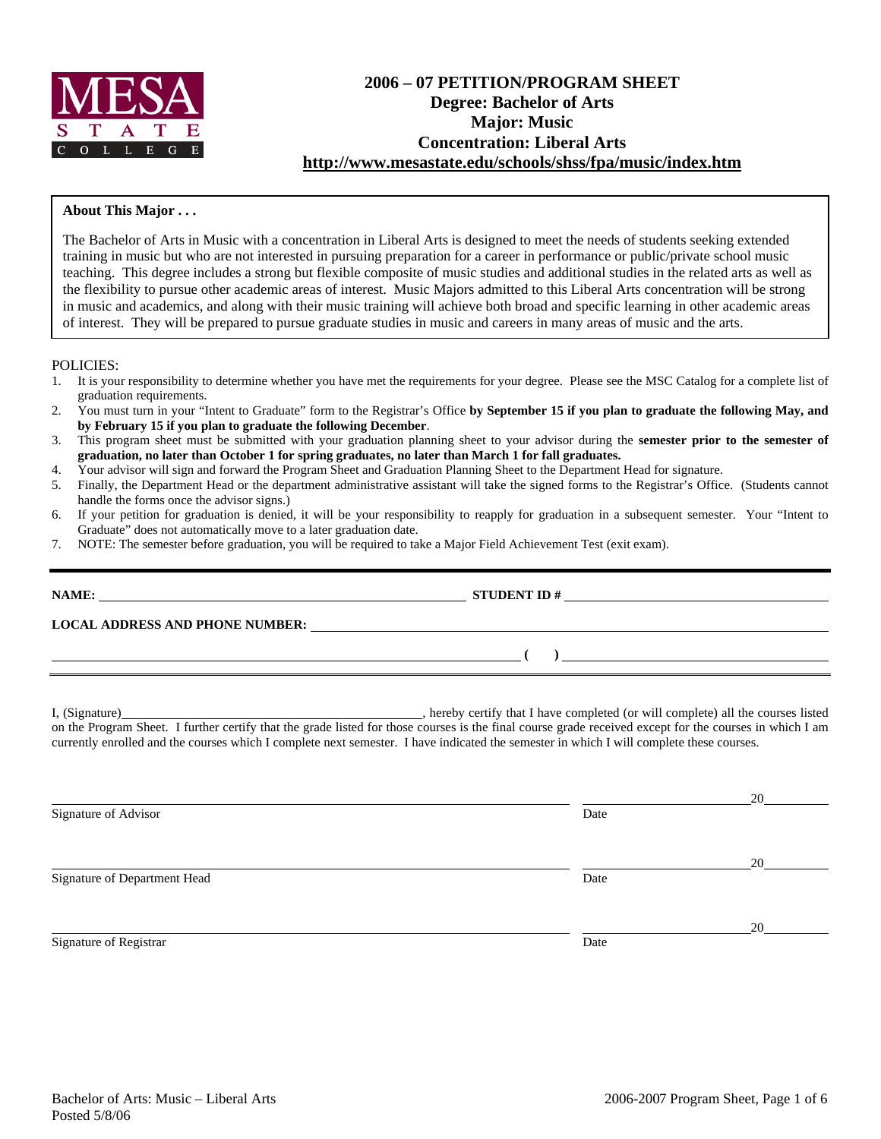

# **2006 – 07 PETITION/PROGRAM SHEET Degree: Bachelor of Arts Major: Music Concentration: Liberal Arts http://www.mesastate.edu/schools/shss/fpa/music/index.htm**

### **About This Major . . .**

The Bachelor of Arts in Music with a concentration in Liberal Arts is designed to meet the needs of students seeking extended training in music but who are not interested in pursuing preparation for a career in performance or public/private school music teaching. This degree includes a strong but flexible composite of music studies and additional studies in the related arts as well as the flexibility to pursue other academic areas of interest. Music Majors admitted to this Liberal Arts concentration will be strong in music and academics, and along with their music training will achieve both broad and specific learning in other academic areas of interest. They will be prepared to pursue graduate studies in music and careers in many areas of music and the arts.

POLICIES:

- 1. It is your responsibility to determine whether you have met the requirements for your degree. Please see the MSC Catalog for a complete list of graduation requirements.
- 2. You must turn in your "Intent to Graduate" form to the Registrar's Office **by September 15 if you plan to graduate the following May, and by February 15 if you plan to graduate the following December**.
- 3. This program sheet must be submitted with your graduation planning sheet to your advisor during the **semester prior to the semester of graduation, no later than October 1 for spring graduates, no later than March 1 for fall graduates.**
- 4. Your advisor will sign and forward the Program Sheet and Graduation Planning Sheet to the Department Head for signature.
- 5. Finally, the Department Head or the department administrative assistant will take the signed forms to the Registrar's Office. (Students cannot handle the forms once the advisor signs.)
- 6. If your petition for graduation is denied, it will be your responsibility to reapply for graduation in a subsequent semester. Your "Intent to Graduate" does not automatically move to a later graduation date.
- 7. NOTE: The semester before graduation, you will be required to take a Major Field Achievement Test (exit exam).

| <b>NAME:</b>                           | <b>STUDENT ID#</b><br><u> 1980 - John Stein, Amerikaansk politiker (</u>                                              |
|----------------------------------------|-----------------------------------------------------------------------------------------------------------------------|
| <b>LOCAL ADDRESS AND PHONE NUMBER:</b> | <u> 1990 - Jan Sarajević, politički predsjednik i politički predsjednik i politički predsjednik i politički preds</u> |
|                                        |                                                                                                                       |
|                                        |                                                                                                                       |

I, (Signature) , hereby certify that I have completed (or will complete) all the courses listed on the Program Sheet. I further certify that the grade listed for those courses is the final course grade received except for the courses in which I am currently enrolled and the courses which I complete next semester. I have indicated the semester in which I will complete these courses.

|                              |      | 20 |
|------------------------------|------|----|
| Signature of Advisor         | Date |    |
|                              |      | 20 |
| Signature of Department Head | Date |    |
|                              |      | 20 |
| Signature of Registrar       | Date |    |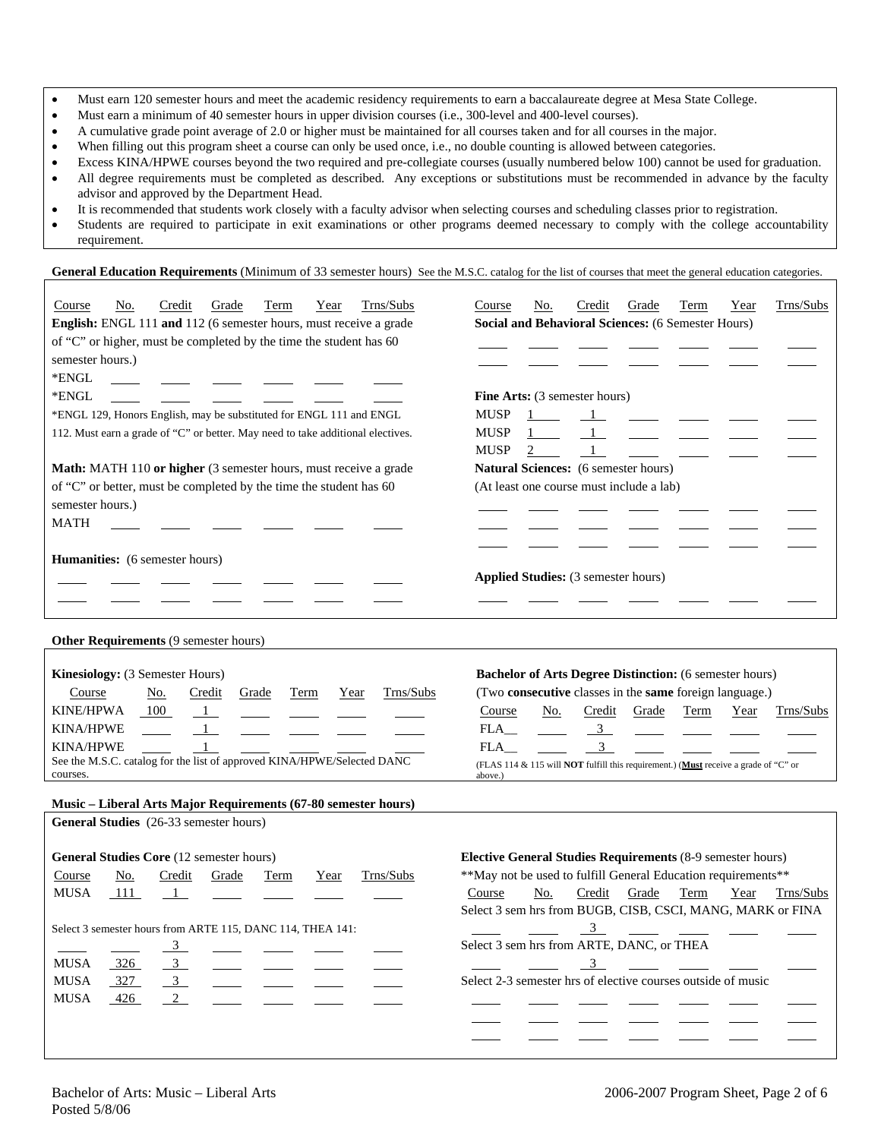- Must earn 120 semester hours and meet the academic residency requirements to earn a baccalaureate degree at Mesa State College.
- Must earn a minimum of 40 semester hours in upper division courses (i.e., 300-level and 400-level courses).
- A cumulative grade point average of 2.0 or higher must be maintained for all courses taken and for all courses in the major.
- When filling out this program sheet a course can only be used once, i.e., no double counting is allowed between categories.
- Excess KINA/HPWE courses beyond the two required and pre-collegiate courses (usually numbered below 100) cannot be used for graduation.
- All degree requirements must be completed as described. Any exceptions or substitutions must be recommended in advance by the faculty advisor and approved by the Department Head.
- It is recommended that students work closely with a faculty advisor when selecting courses and scheduling classes prior to registration.
- Students are required to participate in exit examinations or other programs deemed necessary to comply with the college accountability requirement.

General Education Requirements (Minimum of 33 semester hours) See the M.S.C. catalog for the list of courses that meet the general education categories.

| Trns/Subs<br>Course<br>Credit<br>Grade<br>Term<br>Year<br>No.<br>English: ENGL 111 and 112 (6 semester hours, must receive a grade | Trns/Subs<br>Grade<br>Term<br>Course<br>No.<br>Credit<br>Year<br>Social and Behavioral Sciences: (6 Semester Hours) |
|------------------------------------------------------------------------------------------------------------------------------------|---------------------------------------------------------------------------------------------------------------------|
| of "C" or higher, must be completed by the time the student has 60                                                                 |                                                                                                                     |
| semester hours.)                                                                                                                   |                                                                                                                     |
| *ENGL                                                                                                                              |                                                                                                                     |
| *ENGL                                                                                                                              | Fine Arts: (3 semester hours)                                                                                       |
| *ENGL 129, Honors English, may be substituted for ENGL 111 and ENGL                                                                | <b>MUSP</b>                                                                                                         |
| 112. Must earn a grade of "C" or better. May need to take additional electives.                                                    | <b>MUSP</b>                                                                                                         |
|                                                                                                                                    | <b>MUSP</b>                                                                                                         |
| Math: MATH 110 or higher (3 semester hours, must receive a grade                                                                   | Natural Sciences: (6 semester hours)                                                                                |
| of "C" or better, must be completed by the time the student has 60                                                                 | (At least one course must include a lab)                                                                            |
| semester hours.)                                                                                                                   |                                                                                                                     |
| <b>MATH</b>                                                                                                                        |                                                                                                                     |
|                                                                                                                                    |                                                                                                                     |
| Humanities: (6 semester hours)                                                                                                     |                                                                                                                     |
|                                                                                                                                    | <b>Applied Studies:</b> (3 semester hours)                                                                          |
|                                                                                                                                    |                                                                                                                     |
|                                                                                                                                    |                                                                                                                     |
| <b>Other Requirements (9 semester hours)</b>                                                                                       |                                                                                                                     |
|                                                                                                                                    |                                                                                                                     |
| Kinesiology: (3 Semester Hours)                                                                                                    | <b>Bachelor of Arts Degree Distinction:</b> (6 semester hours)                                                      |
| Trns/Subs<br>Course<br>Credit<br>Grade<br>Term<br>Year<br><u>No.</u>                                                               | (Two consecutive classes in the same foreign language.)                                                             |
| KINE/HPWA<br>100<br>$\overline{1}$                                                                                                 | No.<br>Credit<br>Grade<br>Term<br>Trns/Subs<br>Course<br>Year                                                       |
| <b>KINA/HPWE</b><br>$\mathbf{1}$                                                                                                   | 3 <sup>7</sup><br>FLA<br>$\overline{3}$                                                                             |
| <b>KINA/HPWE</b><br>See the M.S.C. catalog for the list of approved KINA/HPWE/Selected DANC                                        | FLA<br>(FLAS 114 & 115 will NOT fulfill this requirement.) (Must receive a grade of "C" or                          |
| courses.                                                                                                                           | above.)                                                                                                             |
|                                                                                                                                    |                                                                                                                     |
| Music - Liberal Arts Major Requirements (67-80 semester hours)<br>General Studies (26-33 semester hours)                           |                                                                                                                     |
|                                                                                                                                    |                                                                                                                     |
| General Studies Core (12 semester hours)                                                                                           | Elective General Studies Requirements (8-9 semester hours)                                                          |
| Trns/Subs<br>Credit<br>Grade<br>Term<br>Year<br>Course<br>No.                                                                      | **May not be used to fulfill General Education requirements**                                                       |
| <b>MUSA</b><br>111<br>$\mathbf{1}$                                                                                                 | Credit<br>No.<br>Grade<br>Term<br>Year<br>Trns/Subs<br>Course                                                       |
|                                                                                                                                    | Select 3 sem hrs from BUGB, CISB, CSCI, MANG, MARK or FINA                                                          |
| Select 3 semester hours from ARTE 115, DANC 114, THEA 141:                                                                         | 3                                                                                                                   |
|                                                                                                                                    | Select 3 sem hrs from ARTE, DANC, or THEA                                                                           |
| $\overline{3}$<br><b>MUSA</b><br>326                                                                                               | 3                                                                                                                   |
| $\overline{3}$<br><b>MUSA</b><br>327                                                                                               | Select 2-3 semester hrs of elective courses outside of music                                                        |
| $\overline{2}$<br><b>MUSA</b><br>426                                                                                               |                                                                                                                     |
|                                                                                                                                    |                                                                                                                     |
|                                                                                                                                    |                                                                                                                     |
|                                                                                                                                    |                                                                                                                     |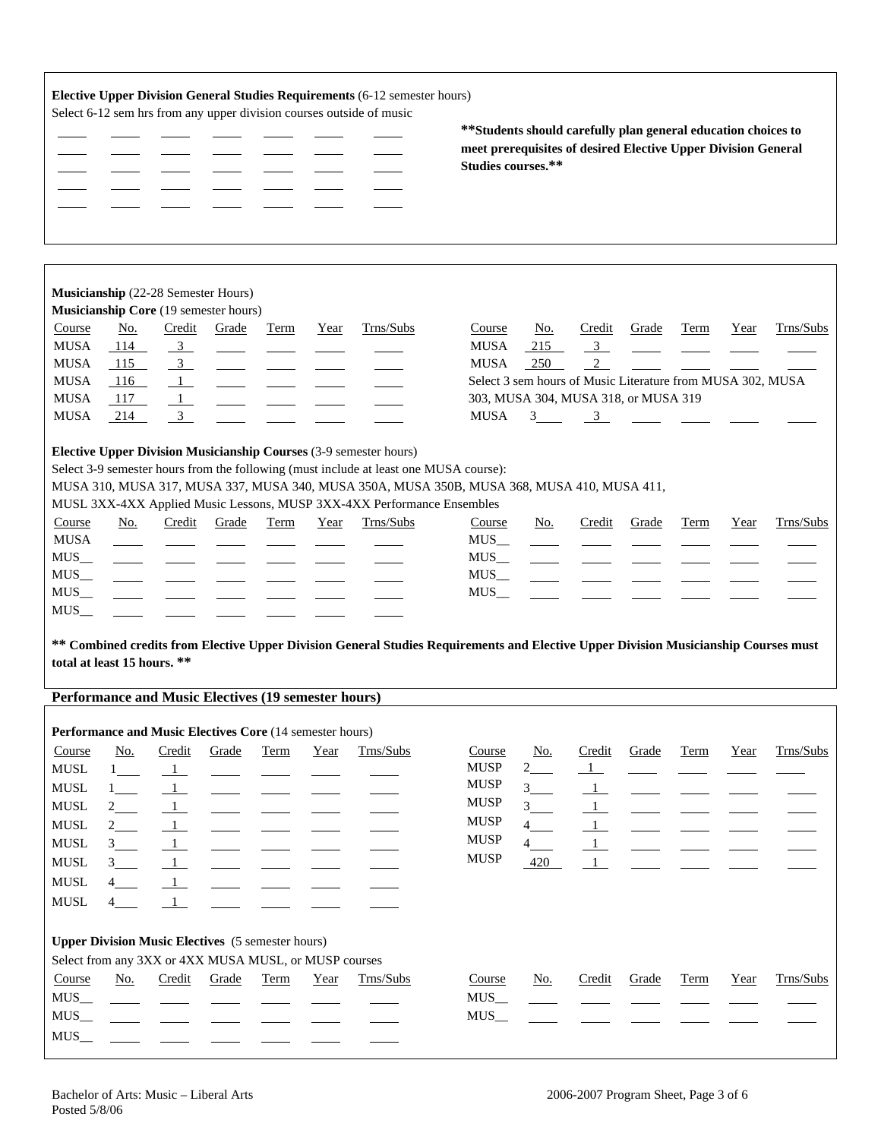|                                                                                                                                                                                                                                                                       |                                                                                                                                      |                                                                                                                          |                                                                                                                            |             |      | Elective Upper Division General Studies Requirements (6-12 semester hours)<br>Select 6-12 sem hrs from any upper division courses outside of music                                                                                                                                                                                               | ** Students should carefully plan general education choices to<br>meet prerequisites of desired Elective Upper Division General<br>Studies courses.** |                                                                                                                         |                                                                                                          |              |             |      |           |
|-----------------------------------------------------------------------------------------------------------------------------------------------------------------------------------------------------------------------------------------------------------------------|--------------------------------------------------------------------------------------------------------------------------------------|--------------------------------------------------------------------------------------------------------------------------|----------------------------------------------------------------------------------------------------------------------------|-------------|------|--------------------------------------------------------------------------------------------------------------------------------------------------------------------------------------------------------------------------------------------------------------------------------------------------------------------------------------------------|-------------------------------------------------------------------------------------------------------------------------------------------------------|-------------------------------------------------------------------------------------------------------------------------|----------------------------------------------------------------------------------------------------------|--------------|-------------|------|-----------|
| Course<br><b>MUSA</b><br><b>MUSA</b><br><b>MUSA</b><br><b>MUSA</b>                                                                                                                                                                                                    | No.<br>114<br>115<br>116<br>117                                                                                                      | Credit<br>$\overline{\mathbf{3}}$<br>$\overline{3}$                                                                      | Musicianship (22-28 Semester Hours)<br>Musicianship Core (19 semester hours)<br>Grade                                      | Term        | Year | Trns/Subs                                                                                                                                                                                                                                                                                                                                        | Course<br><b>MUSA</b><br><b>MUSA</b>                                                                                                                  | No.<br>215<br>250<br>Select 3 sem hours of Music Literature from MUSA 302, MUSA<br>303, MUSA 304, MUSA 318, or MUSA 319 | Credit<br>$\overline{3}$<br>2                                                                            | Grade        | Term        | Year | Trns/Subs |
| <b>MUSA</b><br>Course<br><b>MUSA</b><br>$MUS$ <sub>--</sub><br>$MUS$ <sub>__</sub>                                                                                                                                                                                    | 214<br>No.                                                                                                                           | 3<br>Credit                                                                                                              | Grade                                                                                                                      | Term        | Year | Elective Upper Division Musicianship Courses (3-9 semester hours)<br>Select 3-9 semester hours from the following (must include at least one MUSA course):<br>MUSA 310, MUSA 317, MUSA 337, MUSA 340, MUSA 350A, MUSA 350B, MUSA 368, MUSA 410, MUSA 411,<br>MUSL 3XX-4XX Applied Music Lessons, MUSP 3XX-4XX Performance Ensembles<br>Trns/Subs | MUSA<br>Course<br>MUS<br>MUS <sub>—</sub><br>MUS <sub>—</sub>                                                                                         | $3 \qquad \qquad 3$<br>No.                                                                                              | Credit                                                                                                   | Grade        | Term        | Year | Trns/Subs |
| $MUS$ <sub>--</sub><br>MUS<br>MUS<br>** Combined credits from Elective Upper Division General Studies Requirements and Elective Upper Division Musicianship Courses must<br>total at least 15 hours. **<br><b>Performance and Music Electives (19 semester hours)</b> |                                                                                                                                      |                                                                                                                          |                                                                                                                            |             |      |                                                                                                                                                                                                                                                                                                                                                  |                                                                                                                                                       |                                                                                                                         |                                                                                                          |              |             |      |           |
| Course<br>${\rm MUSL}$<br><b>MUSL</b><br><b>MUSL</b><br><b>MUSL</b><br><b>MUSL</b><br><b>MUSL</b><br><b>MUSL</b><br><b>MUSL</b>                                                                                                                                       | No.<br>$1$ <sub>___</sub><br>$1$ <sub>___</sub><br>$2$ <sub>___</sub><br>$2$ <sub>___</sub><br>3<br>$3 \quad \blacksquare$<br>4<br>4 | Credit<br>$\frac{1}{ }$<br>$\mathbf{1}$<br>$\mathbf{1}$<br>$\mathbf{1}$<br>$\mathbf{1}$<br>$\frac{1}{2}$<br>$\perp$<br>1 | Performance and Music Electives Core (14 semester hours)<br>Grade                                                          | <b>Term</b> | Year | Trns/Subs                                                                                                                                                                                                                                                                                                                                        | Course<br><b>MUSP</b><br><b>MUSP</b><br><b>MUSP</b><br><b>MUSP</b><br><b>MUSP</b><br><b>MUSP</b>                                                      | <u>No.</u><br>$2$ <sub>___</sub><br>$3 -$<br>3<br>$4 \underline{\qquad}$<br>4<br>420                                    | Credit<br>$\overline{1}$<br>$\mathbf{1}$<br>$\mathbf{1}$<br>$\mathbf{1}$<br>$\mathbf{1}$<br>$\mathbf{1}$ | Grade        | <b>Term</b> | Year | Trns/Subs |
| Course<br>$MUS$ <sub>__</sub><br>$MUS$ <sub>__</sub><br>$MUS$ <sub>__</sub>                                                                                                                                                                                           | <u>No.</u>                                                                                                                           | Credit                                                                                                                   | <b>Upper Division Music Electives</b> (5 semester hours)<br>Select from any 3XX or 4XX MUSA MUSL, or MUSP courses<br>Grade | <b>Term</b> | Year | Trns/Subs                                                                                                                                                                                                                                                                                                                                        | Course<br>$MUS$ <sub>—</sub><br>MUS                                                                                                                   | <u>No.</u>                                                                                                              | Credit                                                                                                   | <b>Grade</b> | <b>Term</b> | Year | Trns/Subs |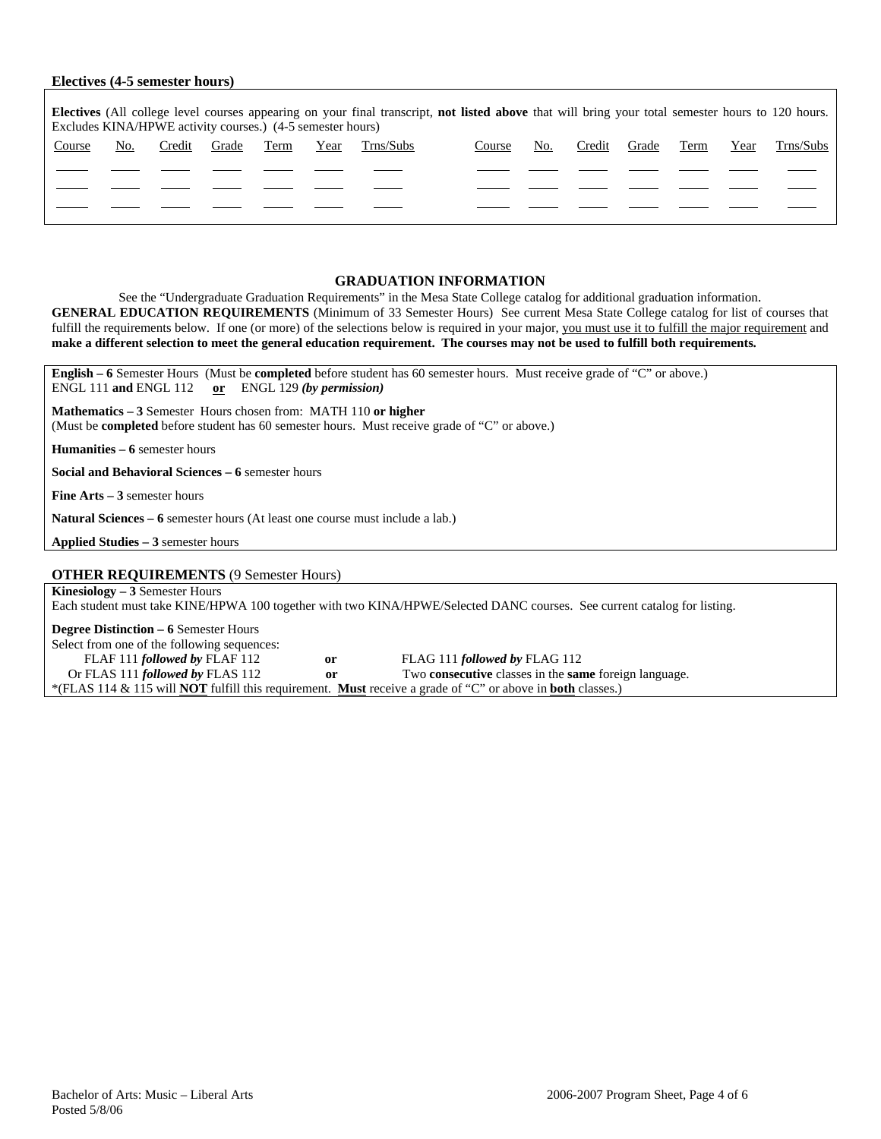#### **Electives (4-5 semester hours)**

| <b>Electives</b> (All college level courses appearing on your final transcript, not listed above that will bring your total semester hours to 120 hours.<br>Excludes KINA/HPWE activity courses.) (4-5 semester hours) |     |        |       |      |      |           |        |     |        |       |      |      |           |
|------------------------------------------------------------------------------------------------------------------------------------------------------------------------------------------------------------------------|-----|--------|-------|------|------|-----------|--------|-----|--------|-------|------|------|-----------|
| Course                                                                                                                                                                                                                 | No. | Credit | Grade | Term | Year | Trns/Subs | Course | No. | Credit | Grade | Term | Year | Trns/Subs |
|                                                                                                                                                                                                                        |     |        |       |      |      |           |        |     |        |       |      |      |           |
|                                                                                                                                                                                                                        |     |        |       |      |      |           |        |     |        |       |      |      |           |
|                                                                                                                                                                                                                        |     |        |       |      |      |           |        |     |        |       |      |      |           |

#### **GRADUATION INFORMATION**

See the "Undergraduate Graduation Requirements" in the Mesa State College catalog for additional graduation information. **GENERAL EDUCATION REQUIREMENTS** (Minimum of 33 Semester Hours) See current Mesa State College catalog for list of courses that fulfill the requirements below. If one (or more) of the selections below is required in your major, you must use it to fulfill the major requirement and **make a different selection to meet the general education requirement. The courses may not be used to fulfill both requirements.** 

**English – 6** Semester Hours (Must be **completed** before student has 60 semester hours. Must receive grade of "C" or above.) ENGL 111 **and** ENGL 112 **or** ENGL 129 *(by permission)*

**Mathematics – 3** Semester Hours chosen from: MATH 110 **or higher** (Must be **completed** before student has 60 semester hours. Must receive grade of "C" or above.)

**Humanities – 6** semester hours

**Social and Behavioral Sciences – 6** semester hours

**Fine Arts – 3** semester hours

**Natural Sciences – 6** semester hours (At least one course must include a lab.)

**Applied Studies – 3** semester hours

**OTHER REQUIREMENTS** (9 Semester Hours)

**Kinesiology – 3** Semester Hours Each student must take KINE/HPWA 100 together with two KINA/HPWE/Selected DANC courses. See current catalog for listing.

**Degree Distinction – 6** Semester Hours

Select from one of the following sequences:<br>FLAF 111 *followed by* FLAF 112 FLAF 111 *followed by* FLAF 112 **or** FLAG 111 *followed by* FLAG 112 **or** Two **consecutive** classes in the **sam** or **FLAS** Two **consecutive** classes in the **same** foreign language. \*(FLAS 114 & 115 will **NOT** fulfill this requirement. **Must** receive a grade of "C" or above in **both** classes.)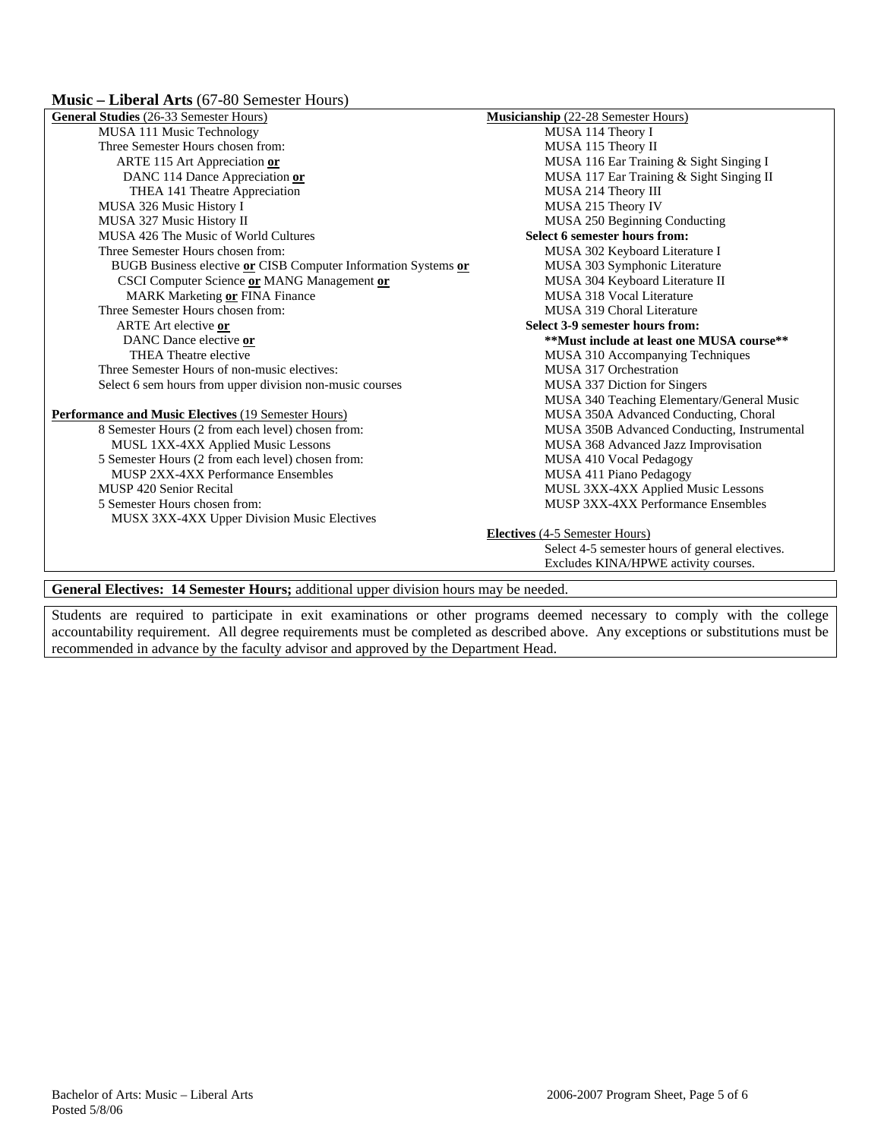|  | <b>Music – Liberal Arts</b> (67-80 Semester Hours) |
|--|----------------------------------------------------|
|--|----------------------------------------------------|

| General Studies (26-33 Semester Hours)                                               | Musicianship (22-28 Semester Hours)             |
|--------------------------------------------------------------------------------------|-------------------------------------------------|
| MUSA 111 Music Technology                                                            | MUSA 114 Theory I                               |
| Three Semester Hours chosen from:                                                    | MUSA 115 Theory II                              |
| ARTE 115 Art Appreciation or                                                         | MUSA 116 Ear Training & Sight Singing I         |
| DANC 114 Dance Appreciation or                                                       | MUSA 117 Ear Training & Sight Singing II        |
| THEA 141 Theatre Appreciation                                                        | MUSA 214 Theory III                             |
| MUSA 326 Music History I                                                             | MUSA 215 Theory IV                              |
| MUSA 327 Music History II                                                            | MUSA 250 Beginning Conducting                   |
| MUSA 426 The Music of World Cultures                                                 | Select 6 semester hours from:                   |
| Three Semester Hours chosen from:                                                    | MUSA 302 Keyboard Literature I                  |
| BUGB Business elective or CISB Computer Information Systems or                       | MUSA 303 Symphonic Literature                   |
| CSCI Computer Science or MANG Management or                                          | MUSA 304 Keyboard Literature II                 |
| MARK Marketing or FINA Finance                                                       | MUSA 318 Vocal Literature                       |
| Three Semester Hours chosen from:                                                    | MUSA 319 Choral Literature                      |
| ARTE Art elective or                                                                 | Select 3-9 semester hours from:                 |
| DANC Dance elective or                                                               | **Must include at least one MUSA course**       |
| THEA Theatre elective                                                                | MUSA 310 Accompanying Techniques                |
| Three Semester Hours of non-music electives:                                         | MUSA 317 Orchestration                          |
| Select 6 sem hours from upper division non-music courses                             | MUSA 337 Diction for Singers                    |
|                                                                                      | MUSA 340 Teaching Elementary/General Music      |
| <b>Performance and Music Electives (19 Semester Hours)</b>                           | MUSA 350A Advanced Conducting, Choral           |
| 8 Semester Hours (2 from each level) chosen from:                                    | MUSA 350B Advanced Conducting, Instrumental     |
| MUSL 1XX-4XX Applied Music Lessons                                                   | MUSA 368 Advanced Jazz Improvisation            |
| 5 Semester Hours (2 from each level) chosen from:                                    | MUSA 410 Vocal Pedagogy                         |
| MUSP 2XX-4XX Performance Ensembles                                                   | MUSA 411 Piano Pedagogy                         |
| MUSP 420 Senior Recital                                                              | MUSL 3XX-4XX Applied Music Lessons              |
| 5 Semester Hours chosen from:                                                        | MUSP 3XX-4XX Performance Ensembles              |
| <b>MUSX 3XX-4XX Upper Division Music Electives</b>                                   |                                                 |
|                                                                                      | <b>Electives</b> (4-5 Semester Hours)           |
|                                                                                      | Select 4-5 semester hours of general electives. |
|                                                                                      | Excludes KINA/HPWE activity courses.            |
|                                                                                      |                                                 |
| General Electives: 14 Semester Hours; additional upper division hours may be needed. |                                                 |

Students are required to participate in exit examinations or other programs deemed necessary to comply with the college accountability requirement. All degree requirements must be completed as described above. Any exceptions or substitutions must be recommended in advance by the faculty advisor and approved by the Department Head.